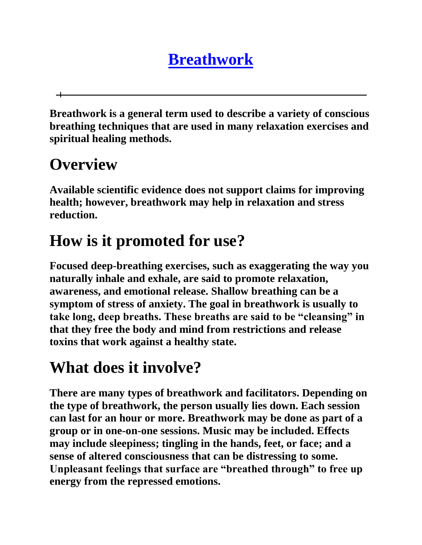## **[Breathwork](http://www.cancer.org/Treatment/TreatmentsandSideEffects/ComplementaryandAlternativeMedicine/MindBodyandSpirit/breathwork)**

**Breathwork is a general term used to describe a variety of conscious breathing techniques that are used in many relaxation exercises and spiritual healing methods.** 

### **Overview**

**Available scientific evidence does not support claims for improving health; however, breathwork may help in relaxation and stress reduction.** 

# **How is it promoted for use?**

**Focused deep-breathing exercises, such as exaggerating the way you naturally inhale and exhale, are said to promote relaxation, awareness, and emotional release. Shallow breathing can be a symptom of stress of anxiety. The goal in breathwork is usually to take long, deep breaths. These breaths are said to be "cleansing" in that they free the body and mind from restrictions and release toxins that work against a healthy state.** 

#### **What does it involve?**

**There are many types of breathwork and facilitators. Depending on the type of breathwork, the person usually lies down. Each session can last for an hour or more. Breathwork may be done as part of a group or in one-on-one sessions. Music may be included. Effects may include sleepiness; tingling in the hands, feet, or face; and a sense of altered consciousness that can be distressing to some. Unpleasant feelings that surface are "breathed through" to free up energy from the repressed emotions.**